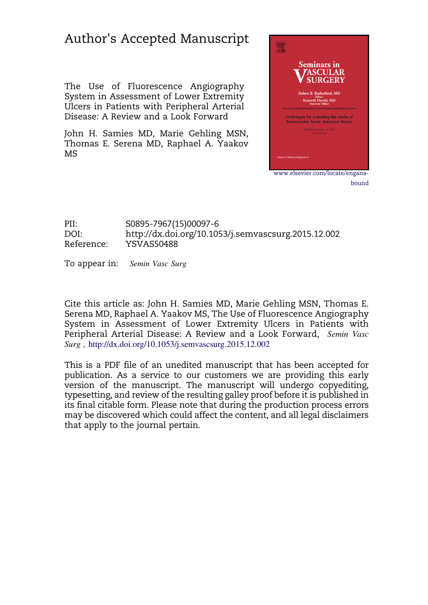# Author's Accepted Manuscript

The Use of Fluorescence Angiography System in Assessment of Lower Extremity Ulcers in Patients with Peripheral Arterial Disease: A Review and a Look Forward

John H. Samies MD, Marie Gehling MSN, Thomas E. Serena MD, Raphael A. Yaakov MS



PII: S0895-7967(15)00097-6 DOI:<http://dx.doi.org/10.1053/j.semvascsurg.2015.12.002> Reference: YSVAS50488

To appear in: Semin Vasc Surg

Cite this article as: John H. Samies MD, Marie Gehling MSN, Thomas E. Serena MD, Raphael A. Yaakov MS, The Use of Fluorescence Angiography System in Assessment of Lower Extremity Ulcers in Patients with Peripheral Arterial Disease: A Review and a Look Forward, Semin Vasc Surg , <http://dx.doi.org/10.1053/j.semvascsurg.2015.12.002>

This is a PDF file of an unedited manuscript that has been accepted for publication. As a service to our customers we are providing this early version of the manuscript. The manuscript will undergo copyediting, typesetting, and review of the resulting galley proof before it is published in its final citable form. Please note that during the production process errors may be discovered which could affect the content, and all legal disclaimers that apply to the journal pertain.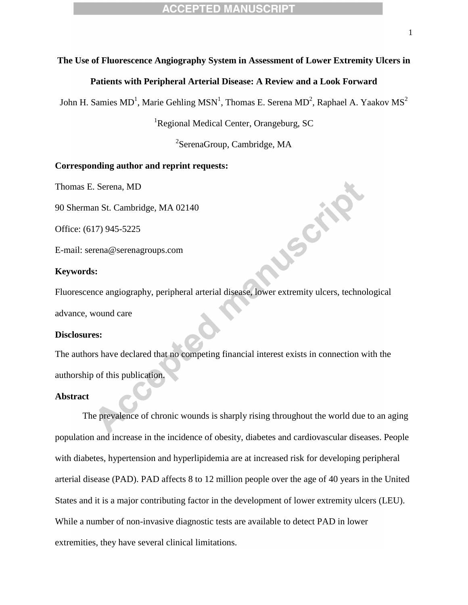#### **The Use of Fluorescence Angiography System in Assessment of Lower Extremity Ulcers in**

#### **Patients with Peripheral Arterial Disease: A Review and a Look Forward**

John H. Samies MD<sup>1</sup>, Marie Gehling MSN<sup>1</sup>, Thomas E. Serena MD<sup>2</sup>, Raphael A. Yaakov MS<sup>2</sup>

<sup>1</sup>Regional Medical Center, Orangeburg, SC

<sup>2</sup>SerenaGroup, Cambridge, MA

**SSCALE** 

## **Corresponding author and reprint requests:**

Thomas E. Serena, MD

90 Sherman St. Cambridge, MA 02140

Office: (617) 945-5225

E-mail: serena@serenagroups.com

#### **Keywords:**

Fluorescence angiography, peripheral arterial disease, lower extremity ulcers, technological advance, wound care

#### **Disclosures:**

The authors have declared that no competing financial interest exists in connection with the authorship of this publication.

#### **Abstract**

The prevalence of chronic wounds is sharply rising throughout the world due to an aging population and increase in the incidence of obesity, diabetes and cardiovascular diseases. People with diabetes, hypertension and hyperlipidemia are at increased risk for developing peripheral arterial disease (PAD). PAD affects 8 to 12 million people over the age of 40 years in the United States and it is a major contributing factor in the development of lower extremity ulcers (LEU). While a number of non-invasive diagnostic tests are available to detect PAD in lower extremities, they have several clinical limitations.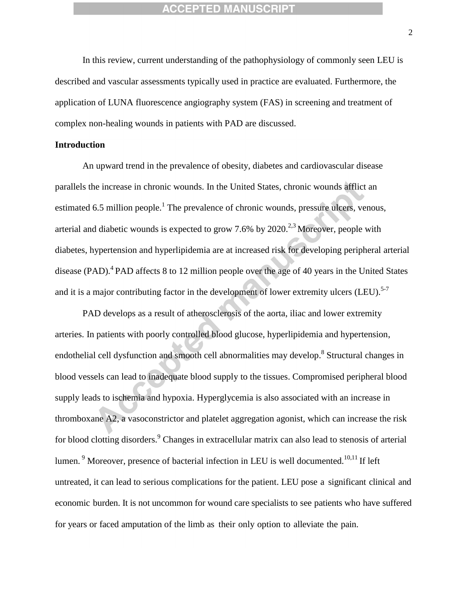In this review, current understanding of the pathophysiology of commonly seen LEU is described and vascular assessments typically used in practice are evaluated. Furthermore, the application of LUNA fluorescence angiography system (FAS) in screening and treatment of complex non-healing wounds in patients with PAD are discussed.

#### **Introduction**

An upward trend in the prevalence of obesity, diabetes and cardiovascular disease parallels the increase in chronic wounds. In the United States, chronic wounds afflict an estimated 6.5 million people.<sup>1</sup> The prevalence of chronic wounds, pressure ulcers, venous, arterial and diabetic wounds is expected to grow  $7.6\%$  by  $2020.<sup>2,3</sup>$  Moreover, people with diabetes, hypertension and hyperlipidemia are at increased risk for developing peripheral arterial disease (PAD).<sup>4</sup> PAD affects 8 to 12 million people over the age of 40 years in the United States and it is a major contributing factor in the development of lower extremity ulcers (LEU).<sup>5-7</sup>

PAD develops as a result of atherosclerosis of the aorta, iliac and lower extremity arteries. In patients with poorly controlled blood glucose, hyperlipidemia and hypertension, endothelial cell dysfunction and smooth cell abnormalities may develop.<sup>8</sup> Structural changes in blood vessels can lead to inadequate blood supply to the tissues. Compromised peripheral blood supply leads to ischemia and hypoxia. Hyperglycemia is also associated with an increase in thromboxane A2, a vasoconstrictor and platelet aggregation agonist, which can increase the risk for blood clotting disorders.<sup>9</sup> Changes in extracellular matrix can also lead to stenosis of arterial lumen.<sup>9</sup> Moreover, presence of bacterial infection in LEU is well documented.<sup>10,11</sup> If left untreated, it can lead to serious complications for the patient. LEU pose a significant clinical and economic burden. It is not uncommon for wound care specialists to see patients who have suffered for years or faced amputation of the limb as their only option to alleviate the pain.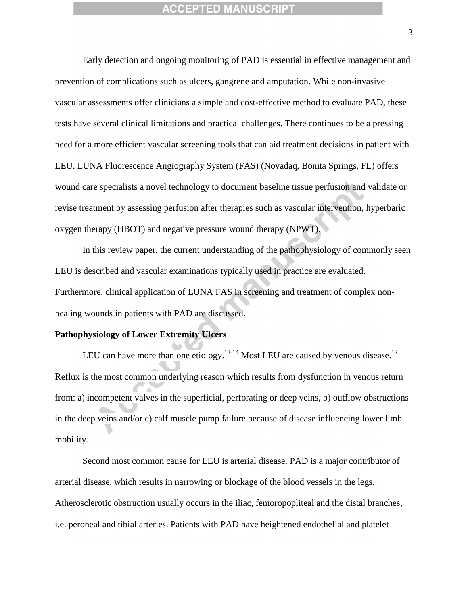Early detection and ongoing monitoring of PAD is essential in effective management and prevention of complications such as ulcers, gangrene and amputation. While non-invasive vascular assessments offer clinicians a simple and cost-effective method to evaluate PAD, these tests have several clinical limitations and practical challenges. There continues to be a pressing need for a more efficient vascular screening tools that can aid treatment decisions in patient with LEU. LUNA Fluorescence Angiography System (FAS) (Novadaq, Bonita Springs, FL) offers wound care specialists a novel technology to document baseline tissue perfusion and validate or revise treatment by assessing perfusion after therapies such as vascular intervention, hyperbaric oxygen therapy (HBOT) and negative pressure wound therapy (NPWT).

In this review paper, the current understanding of the pathophysiology of commonly seen LEU is described and vascular examinations typically used in practice are evaluated. Furthermore, clinical application of LUNA FAS in screening and treatment of complex nonhealing wounds in patients with PAD are discussed.

#### **Pathophysiology of Lower Extremity Ulcers**

LEU can have more than one etiology.<sup>12-14</sup> Most LEU are caused by venous disease.<sup>12</sup> Reflux is the most common underlying reason which results from dysfunction in venous return from: a) incompetent valves in the superficial, perforating or deep veins, b) outflow obstructions in the deep veins and/or c) calf muscle pump failure because of disease influencing lower limb mobility.

Second most common cause for LEU is arterial disease. PAD is a major contributor of arterial disease, which results in narrowing or blockage of the blood vessels in the legs. Atherosclerotic obstruction usually occurs in the iliac, femoropopliteal and the distal branches, i.e. peroneal and tibial arteries. Patients with PAD have heightened endothelial and platelet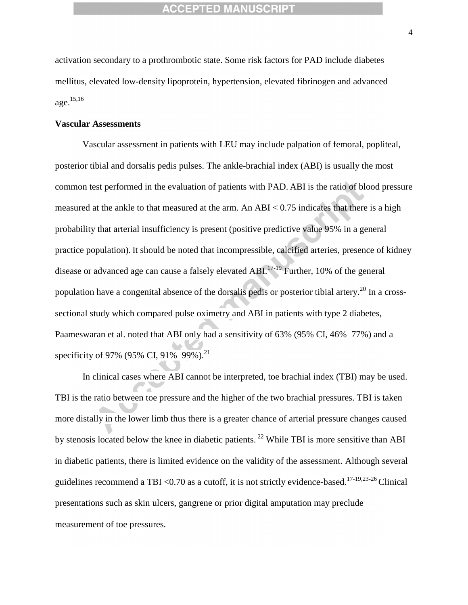activation secondary to a prothrombotic state. Some risk factors for PAD include diabetes mellitus, elevated low-density lipoprotein, hypertension, elevated fibrinogen and advanced age. 15,16

#### **Vascular Assessments**

Vascular assessment in patients with LEU may include palpation of femoral, popliteal, posterior tibial and dorsalis pedis pulses. The ankle-brachial index (ABI) is usually the most common test performed in the evaluation of patients with PAD. ABI is the ratio of blood pressure measured at the ankle to that measured at the arm. An ABI  $< 0.75$  indicates that there is a high probability that arterial insufficiency is present (positive predictive value 95% in a general practice population). It should be noted that incompressible, calcified arteries, presence of kidney disease or advanced age can cause a falsely elevated ABI.<sup>17-19</sup> Further, 10% of the general population have a congenital absence of the dorsalis pedis or posterior tibial artery.<sup>20</sup> In a crosssectional study which compared pulse oximetry and ABI in patients with type 2 diabetes, Paameswaran et al. noted that ABI only had a sensitivity of 63% (95% CI, 46%–77%) and a specificity of 97% (95% CI, 91%–99%).<sup>21</sup>

In clinical cases where ABI cannot be interpreted, toe brachial index (TBI) may be used. TBI is the ratio between toe pressure and the higher of the two brachial pressures. TBI is taken more distally in the lower limb thus there is a greater chance of arterial pressure changes caused by stenosis located below the knee in diabetic patients.<sup>22</sup> While TBI is more sensitive than ABI in diabetic patients, there is limited evidence on the validity of the assessment. Although several guidelines recommend a TBI <0.70 as a cutoff, it is not strictly evidence-based.<sup>17-19,23-26</sup> Clinical presentations such as skin ulcers, gangrene or prior digital amputation may preclude measurement of toe pressures.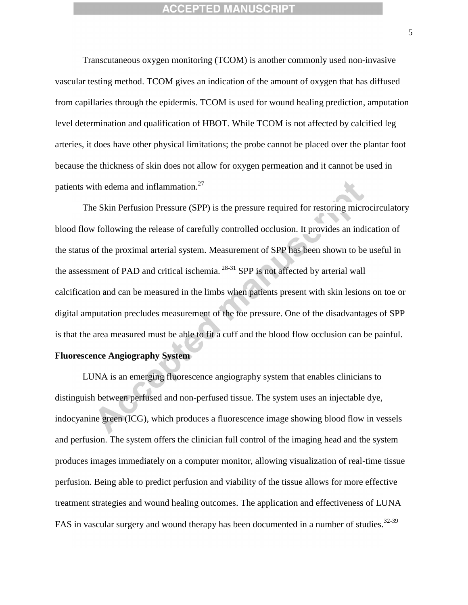Transcutaneous oxygen monitoring (TCOM) is another commonly used non-invasive vascular testing method. TCOM gives an indication of the amount of oxygen that has diffused from capillaries through the epidermis. TCOM is used for wound healing prediction, amputation level determination and qualification of HBOT. While TCOM is not affected by calcified leg arteries, it does have other physical limitations; the probe cannot be placed over the plantar foot because the thickness of skin does not allow for oxygen permeation and it cannot be used in patients with edema and inflammation.<sup>27</sup>

The Skin Perfusion Pressure (SPP) is the pressure required for restoring microcirculatory blood flow following the release of carefully controlled occlusion. It provides an indication of the status of the proximal arterial system. Measurement of SPP has been shown to be useful in the assessment of PAD and critical ischemia.<sup>28-31</sup> SPP is not affected by arterial wall calcification and can be measured in the limbs when patients present with skin lesions on toe or digital amputation precludes measurement of the toe pressure. One of the disadvantages of SPP is that the area measured must be able to fit a cuff and the blood flow occlusion can be painful.

## **Fluorescence Angiography System**

LUNA is an emerging fluorescence angiography system that enables clinicians to distinguish between perfused and non-perfused tissue. The system uses an injectable dye, indocyanine green (ICG), which produces a fluorescence image showing blood flow in vessels and perfusion. The system offers the clinician full control of the imaging head and the system produces images immediately on a computer monitor, allowing visualization of real-time tissue perfusion. Being able to predict perfusion and viability of the tissue allows for more effective treatment strategies and wound healing outcomes. The application and effectiveness of LUNA FAS in vascular surgery and wound therapy has been documented in a number of studies.<sup>32-39</sup>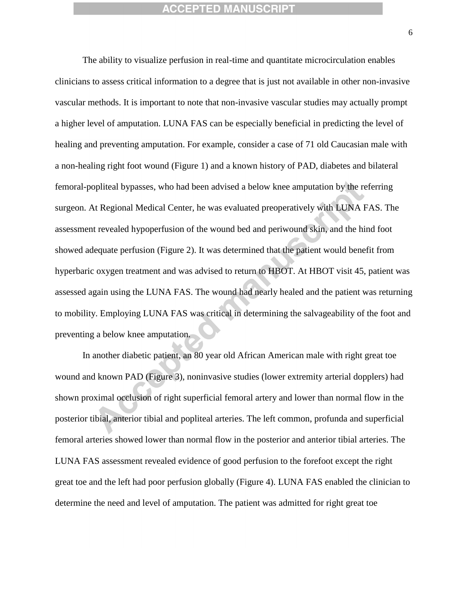The ability to visualize perfusion in real-time and quantitate microcirculation enables clinicians to assess critical information to a degree that is just not available in other non-invasive vascular methods. It is important to note that non-invasive vascular studies may actually prompt a higher level of amputation. LUNA FAS can be especially beneficial in predicting the level of healing and preventing amputation. For example, consider a case of 71 old Caucasian male with a non-healing right foot wound (Figure 1) and a known history of PAD, diabetes and bilateral femoral-popliteal bypasses, who had been advised a below knee amputation by the referring surgeon. At Regional Medical Center, he was evaluated preoperatively with LUNA FAS. The assessment revealed hypoperfusion of the wound bed and periwound skin, and the hind foot showed adequate perfusion (Figure 2). It was determined that the patient would benefit from hyperbaric oxygen treatment and was advised to return to HBOT. At HBOT visit 45, patient was assessed again using the LUNA FAS. The wound had nearly healed and the patient was returning to mobility. Employing LUNA FAS was critical in determining the salvageability of the foot and preventing a below knee amputation.

In another diabetic patient, an 80 year old African American male with right great toe wound and known PAD (Figure 3), noninvasive studies (lower extremity arterial dopplers) had shown proximal occlusion of right superficial femoral artery and lower than normal flow in the posterior tibial, anterior tibial and popliteal arteries. The left common, profunda and superficial femoral arteries showed lower than normal flow in the posterior and anterior tibial arteries. The LUNA FAS assessment revealed evidence of good perfusion to the forefoot except the right great toe and the left had poor perfusion globally (Figure 4). LUNA FAS enabled the clinician to determine the need and level of amputation. The patient was admitted for right great toe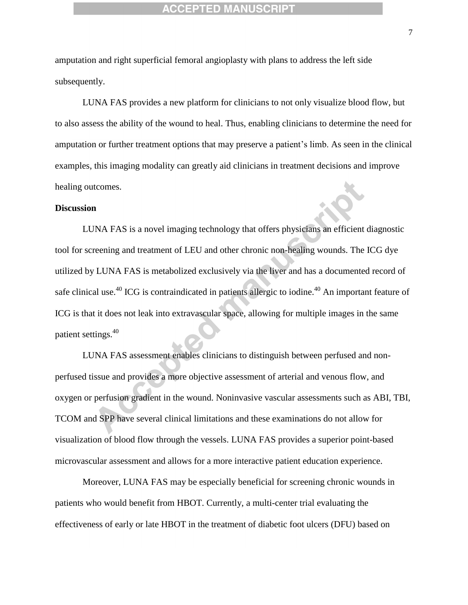amputation and right superficial femoral angioplasty with plans to address the left side subsequently.

LUNA FAS provides a new platform for clinicians to not only visualize blood flow, but to also assess the ability of the wound to heal. Thus, enabling clinicians to determine the need for amputation or further treatment options that may preserve a patient's limb. As seen in the clinical examples, this imaging modality can greatly aid clinicians in treatment decisions and improve healing outcomes.

#### **Discussion**

LUNA FAS is a novel imaging technology that offers physicians an efficient diagnostic tool for screening and treatment of LEU and other chronic non-healing wounds. The ICG dye utilized by LUNA FAS is metabolized exclusively via the liver and has a documented record of safe clinical use.<sup>40</sup> ICG is contraindicated in patients allergic to iodine.<sup>40</sup> An important feature of ICG is that it does not leak into extravascular space, allowing for multiple images in the same patient settings.<sup>40</sup>

LUNA FAS assessment enables clinicians to distinguish between perfused and nonperfused tissue and provides a more objective assessment of arterial and venous flow, and oxygen or perfusion gradient in the wound. Noninvasive vascular assessments such as ABI, TBI, TCOM and SPP have several clinical limitations and these examinations do not allow for visualization of blood flow through the vessels. LUNA FAS provides a superior point-based microvascular assessment and allows for a more interactive patient education experience.

Moreover, LUNA FAS may be especially beneficial for screening chronic wounds in patients who would benefit from HBOT. Currently, a multi-center trial evaluating the effectiveness of early or late HBOT in the treatment of diabetic foot ulcers (DFU) based on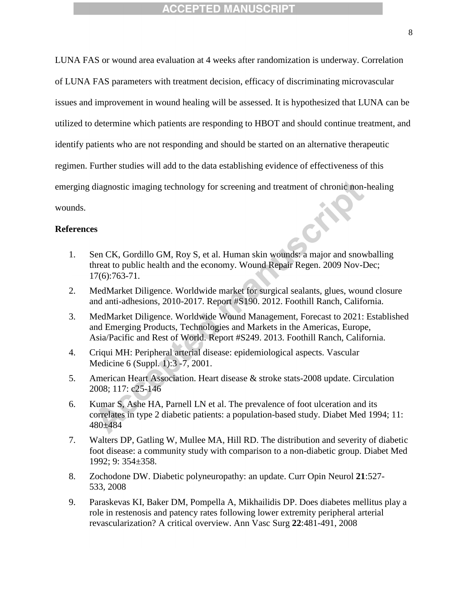LUNA FAS or wound area evaluation at 4 weeks after randomization is underway. Correlation of LUNA FAS parameters with treatment decision, efficacy of discriminating microvascular issues and improvement in wound healing will be assessed. It is hypothesized that LUNA can be utilized to determine which patients are responding to HBOT and should continue treatment, and identify patients who are not responding and should be started on an alternative therapeutic regimen. Further studies will add to the data establishing evidence of effectiveness of this emerging diagnostic imaging technology for screening and treatment of chronic non-healing wounds.

#### **References**

- 1. Sen CK, Gordillo GM, Roy S, et al. Human skin wounds: a major and snowballing threat to public health and the economy. Wound Repair Regen. 2009 Nov-Dec; 17(6):763-71.
- 2. MedMarket Diligence. Worldwide market for surgical sealants, glues, wound closure and anti-adhesions*,* 2010-2017. Report #S190. 2012. Foothill Ranch, California.
- 3. MedMarket Diligence. Worldwide Wound Management, Forecast to 2021: Established and Emerging Products, Technologies and Markets in the Americas, Europe, Asia/Pacific and Rest of World. Report #S249. 2013. Foothill Ranch, California.
- 4. Criqui MH: Peripheral arterial disease: epidemiological aspects. Vascular Medicine 6 (Suppl. 1):3 -7, 2001.
- 5. American Heart Association. Heart disease & stroke stats-2008 update. Circulation 2008; 117: c25-146
- 6. Kumar S, Ashe HA, Parnell LN et al. The prevalence of foot ulceration and its correlates in type 2 diabetic patients: a population-based study. Diabet Med 1994; 11: 480±484
- 7. Walters DP, Gatling W, Mullee MA, Hill RD. The distribution and severity of diabetic foot disease: a community study with comparison to a non-diabetic group. Diabet Med 1992; 9: 354±358.
- 8. Zochodone DW. Diabetic polyneuropathy: an update. Curr Opin Neurol **21**:527- 533, 2008
- 9. Paraskevas KI, Baker DM, Pompella A, Mikhailidis DP. Does diabetes mellitus play a role in restenosis and patency rates following lower extremity peripheral arterial revascularization? A critical overview. Ann Vasc Surg **22**:481-491, 2008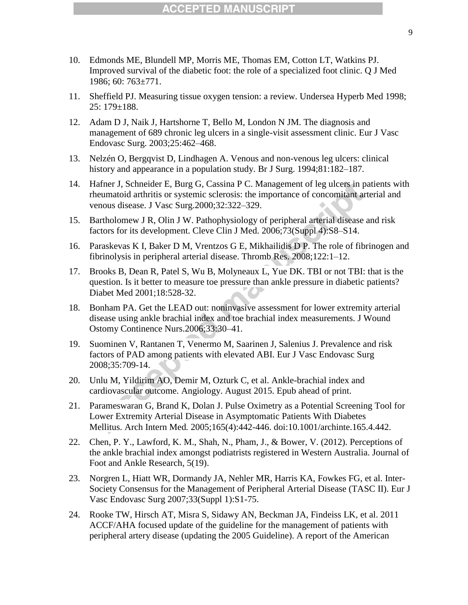- 10. Edmonds ME, Blundell MP, Morris ME, Thomas EM, Cotton LT, Watkins PJ. Improved survival of the diabetic foot: the role of a specialized foot clinic. Q J Med 1986; 60: 763±771.
- 11. Sheffield PJ. Measuring tissue oxygen tension: a review. Undersea Hyperb Med 1998; 25: 179±188.
- 12. Adam D J, Naik J, Hartshorne T, Bello M, London N JM. The diagnosis and management of 689 chronic leg ulcers in a single-visit assessment clinic. Eur J Vasc Endovasc Surg. 2003;25:462–468.
- 13. Nelzén O, Bergqvist D, Lindhagen A. Venous and non-venous leg ulcers: clinical history and appearance in a population study. Br J Surg. 1994;81:182–187.
- 14. Hafner J, Schneider E, Burg G, Cassina P C. Management of leg ulcers in patients with rheumatoid arthritis or systemic sclerosis: the importance of concomitant arterial and venous disease. J Vasc Surg.2000;32:322–329.
- 15. Bartholomew J R, Olin J W. Pathophysiology of peripheral arterial disease and risk factors for its development. Cleve Clin J Med. 2006;73(Suppl 4):S8–S14.
- 16. Paraskevas K I, Baker D M, Vrentzos G E, Mikhailidis D P. The role of fibrinogen and fibrinolysis in peripheral arterial disease. Thromb Res. 2008;122:1–12.
- 17. Brooks B, Dean R, Patel S, Wu B, Molyneaux L, Yue DK. TBI or not TBI: that is the question. Is it better to measure toe pressure than ankle pressure in diabetic patients? Diabet Med 2001;18:528-32.
- 18. Bonham PA. Get the LEAD out: noninvasive assessment for lower extremity arterial disease using ankle brachial index and toe brachial index measurements. J Wound Ostomy Continence Nurs.2006;33:30–41.
- 19. Suominen V, Rantanen T, Venermo M, Saarinen J, Salenius J. Prevalence and risk factors of PAD among patients with elevated ABI. Eur J Vasc Endovasc Surg 2008;35:709-14.
- 20. Unlu M, Yildirim AO, Demir M, Ozturk C, et al. Ankle-brachial index and cardiovascular outcome. Angiology. August 2015. Epub ahead of print.
- 21. Parameswaran G, Brand K, Dolan J. Pulse Oximetry as a Potential Screening Tool for Lower Extremity Arterial Disease in Asymptomatic Patients With Diabetes Mellitus. Arch Intern Med*.* 2005;165(4):442-446. doi:10.1001/archinte.165.4.442.
- 22. Chen, P. Y., Lawford, K. M., Shah, N., Pham, J., & Bower, V. (2012). Perceptions of the ankle brachial index amongst podiatrists registered in Western Australia. Journal of Foot and Ankle Research, 5(19).
- 23. Norgren L, Hiatt WR, Dormandy JA, Nehler MR, Harris KA, Fowkes FG, et al. Inter-Society Consensus for the Management of Peripheral Arterial Disease (TASC II). Eur J Vasc Endovasc Surg 2007;33(Suppl 1):S1-75.
- 24. Rooke TW, Hirsch AT, Misra S, Sidawy AN, Beckman JA, Findeiss LK, et al. 2011 ACCF/AHA focused update of the guideline for the management of patients with peripheral artery disease (updating the 2005 Guideline). A report of the American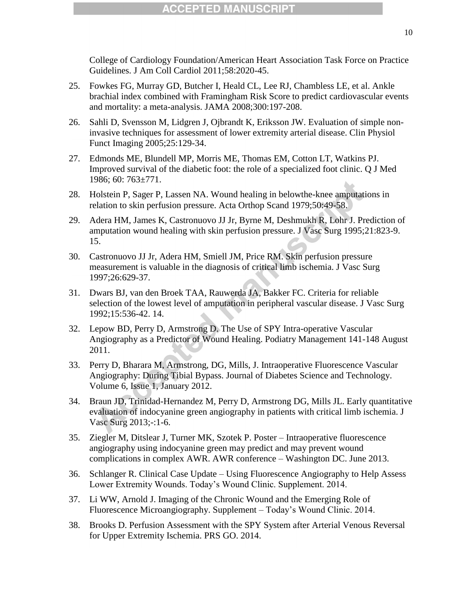College of Cardiology Foundation/American Heart Association Task Force on Practice Guidelines. J Am Coll Cardiol 2011;58:2020-45.

- 25. Fowkes FG, Murray GD, Butcher I, Heald CL, Lee RJ, Chambless LE, et al. Ankle brachial index combined with Framingham Risk Score to predict cardiovascular events and mortality: a meta-analysis. JAMA 2008;300:197-208.
- 26. Sahli D, Svensson M, Lidgren J, Ojbrandt K, Eriksson JW. Evaluation of simple noninvasive techniques for assessment of lower extremity arterial disease. Clin Physiol Funct Imaging 2005;25:129-34.
- 27. Edmonds ME, Blundell MP, Morris ME, Thomas EM, Cotton LT, Watkins PJ. Improved survival of the diabetic foot: the role of a specialized foot clinic. Q J Med 1986; 60: 763±771.
- 28. Holstein P, Sager P, Lassen NA. Wound healing in belowthe-knee amputations in relation to skin perfusion pressure. Acta Orthop Scand 1979;50:49-58.
- 29. Adera HM, James K, Castronuovo JJ Jr, Byrne M, Deshmukh R, Lohr J. Prediction of amputation wound healing with skin perfusion pressure. J Vasc Surg 1995;21:823-9. 15.
- 30. Castronuovo JJ Jr, Adera HM, Smiell JM, Price RM. Skin perfusion pressure measurement is valuable in the diagnosis of critical limb ischemia. J Vasc Surg 1997;26:629-37.
- 31. Dwars BJ, van den Broek TAA, Rauwerda JA, Bakker FC. Criteria for reliable selection of the lowest level of amputation in peripheral vascular disease. J Vasc Surg 1992;15:536-42. 14.
- 32. Lepow BD, Perry D, Armstrong D. The Use of SPY Intra-operative Vascular Angiography as a Predictor of Wound Healing. Podiatry Management 141-148 August 2011.
- 33. Perry D, Bharara M, Armstrong, DG, Mills, J. Intraoperative Fluorescence Vascular Angiography: During Tibial Bypass. Journal of Diabetes Science and Technology. Volume 6, Issue 1, January 2012.
- 34. Braun JD, Trinidad-Hernandez M, Perry D, Armstrong DG, Mills JL. Early quantitative evaluation of indocyanine green angiography in patients with critical limb ischemia. J Vasc Surg 2013;-:1-6.
- 35. Ziegler M, Ditslear J, Turner MK, Szotek P. Poster Intraoperative fluorescence angiography using indocyanine green may predict and may prevent wound complications in complex AWR. AWR conference – Washington DC. June 2013.
- 36. Schlanger R. Clinical Case Update Using Fluorescence Angiography to Help Assess Lower Extremity Wounds. Today's Wound Clinic. Supplement. 2014.
- 37. Li WW, Arnold J. Imaging of the Chronic Wound and the Emerging Role of Fluorescence Microangiography. Supplement – Today's Wound Clinic. 2014.
- 38. Brooks D. Perfusion Assessment with the SPY System after Arterial Venous Reversal for Upper Extremity Ischemia. PRS GO. 2014.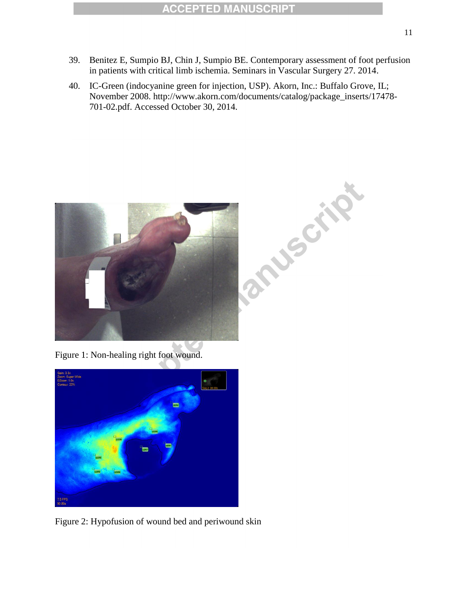- 39. Benitez E, Sumpio BJ, Chin J, Sumpio BE. Contemporary assessment of foot perfusion in patients with critical limb ischemia. Seminars in Vascular Surgery 27. 2014.
- 40. IC-Green (indocyanine green for injection, USP). Akorn, Inc.: Buffalo Grove, IL; November 2008. http://www.akorn.com/documents/catalog/package\_inserts/17478- 701-02.pdf. Accessed October 30, 2014.



Figure 1: Non-healing right foot wound.



Figure 2: Hypofusion of wound bed and periwound skin